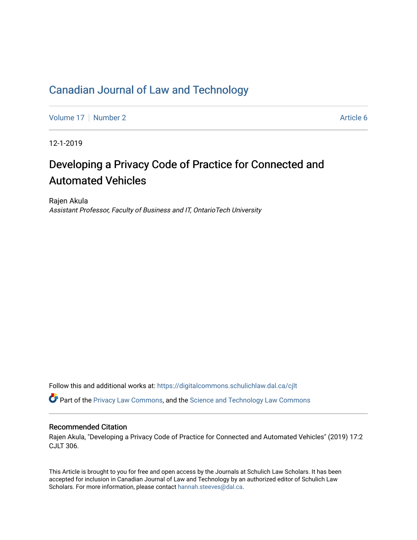## [Canadian Journal of Law and Technology](https://digitalcommons.schulichlaw.dal.ca/cjlt)

[Volume 17](https://digitalcommons.schulichlaw.dal.ca/cjlt/vol17) | [Number 2](https://digitalcommons.schulichlaw.dal.ca/cjlt/vol17/iss2) Article 6

12-1-2019

# Developing a Privacy Code of Practice for Connected and Automated Vehicles

Rajen Akula Assistant Professor, Faculty of Business and IT, OntarioTech University

Follow this and additional works at: [https://digitalcommons.schulichlaw.dal.ca/cjlt](https://digitalcommons.schulichlaw.dal.ca/cjlt?utm_source=digitalcommons.schulichlaw.dal.ca%2Fcjlt%2Fvol17%2Fiss2%2F6&utm_medium=PDF&utm_campaign=PDFCoverPages) 

Part of the [Privacy Law Commons,](http://network.bepress.com/hgg/discipline/1234?utm_source=digitalcommons.schulichlaw.dal.ca%2Fcjlt%2Fvol17%2Fiss2%2F6&utm_medium=PDF&utm_campaign=PDFCoverPages) and the [Science and Technology Law Commons](http://network.bepress.com/hgg/discipline/875?utm_source=digitalcommons.schulichlaw.dal.ca%2Fcjlt%2Fvol17%2Fiss2%2F6&utm_medium=PDF&utm_campaign=PDFCoverPages) 

## Recommended Citation

Rajen Akula, "Developing a Privacy Code of Practice for Connected and Automated Vehicles" (2019) 17:2 CJLT 306.

This Article is brought to you for free and open access by the Journals at Schulich Law Scholars. It has been accepted for inclusion in Canadian Journal of Law and Technology by an authorized editor of Schulich Law Scholars. For more information, please contact [hannah.steeves@dal.ca](mailto:hannah.steeves@dal.ca).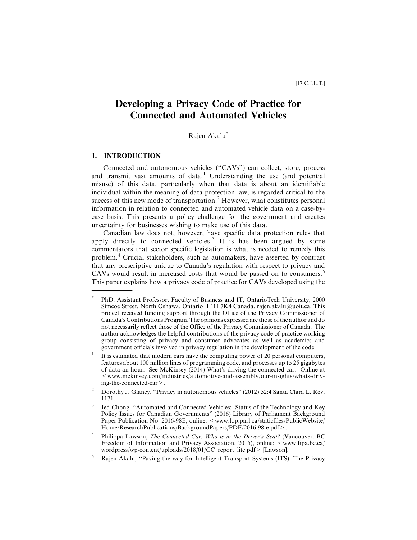## **Developing a Privacy Code of Practice for Connected and Automated Vehicles**

Rajen Akalu\*

## **1. INTRODUCTION**

Connected and autonomous vehicles (''CAVs") can collect, store, process and transmit vast amounts of data.<sup>1</sup> Understanding the use (and potential misuse) of this data, particularly when that data is about an identifiable individual within the meaning of data protection law, is regarded critical to the success of this new mode of transportation.<sup>2</sup> However, what constitutes personal information in relation to connected and automated vehicle data on a case-bycase basis. This presents a policy challenge for the government and creates uncertainty for businesses wishing to make use of this data.

Canadian law does not, however, have specific data protection rules that apply directly to connected vehicles.<sup>3</sup> It is has been argued by some commentators that sector specific legislation is what is needed to remedy this problem.<sup>4</sup> Crucial stakeholders, such as automakers, have asserted by contrast that any prescriptive unique to Canada's regulation with respect to privacy and CAVs would result in increased costs that would be passed on to consumers.<sup>5</sup> This paper explains how a privacy code of practice for CAVs developed using the

PhD. Assistant Professor, Faculty of Business and IT, OntarioTech University, 2000 Simcoe Street, North Oshawa, Ontario L1H 7K4 Canada, rajen.akalu@uoit.ca. This project received funding support through the Office of the Privacy Commissioner of Canada's Contributions Program. The opinions expressed are those of the author and do not necessarily reflect those of the Office of the Privacy Commissioner of Canada. The author acknowledges the helpful contributions of the privacy code of practice working group consisting of privacy and consumer advocates as well as academics and government officials involved in privacy regulation in the development of the code.

<sup>&</sup>lt;sup>1</sup> It is estimated that modern cars have the computing power of 20 personal computers, features about 100 million lines of programming code, and processes up to 25 gigabytes of data an hour. See McKinsey (2014) What's driving the connected car. Online at  $\leq$  www.mckinsey.com/industries/automotive-and-assembly/our-insights/whats-driving-the-connected-car>.

<sup>&</sup>lt;sup>2</sup> Dorothy J. Glancy, "Privacy in autonomous vehicles" (2012) 52:4 Santa Clara L. Rev. 1171.

<sup>3</sup> Jed Chong, ''Automated and Connected Vehicles: Status of the Technology and Key Policy Issues for Canadian Governments" (2016) Library of Parliament Background Paper Publication No. 2016-98E, online: <www.lop.parl.ca/staticfiles/PublicWebsite/ Home/ResearchPublications/BackgroundPapers/PDF/2016-98-e.pdf>.

<sup>&</sup>lt;sup>4</sup> Philippa Lawson, The Connected Car: Who is in the Driver's Seat? (Vancouver: BC Freedom of Information and Privacy Association, 2015), online: <www.fipa.bc.ca/ wordpress/wp-content/uploads/2018/01/CC\_report\_lite.pdf> [Lawson].

<sup>5</sup> Rajen Akalu, ''Paving the way for Intelligent Transport Systems (ITS): The Privacy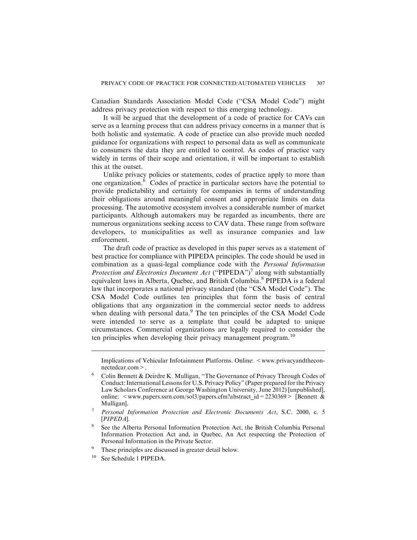Canadian Standards Association Model Code (''CSA Model Code") might address privacy protection with respect to this emerging technology.

It will be argued that the development of a code of practice for CAVs can serve as a learning process that can address privacy concerns in a manner that is both holistic and systematic. A code of practice can also provide much needed guidance for organizations with respect to personal data as well as communicate to consumers the data they are entitled to control. As codes of practice vary widely in terms of their scope and orientation, it will be important to establish this at the outset.

Unlike privacy policies or statements, codes of practice apply to more than one organization.<sup>6</sup> Codes of practice in particular sectors have the potential to provide predictability and certainty for companies in terms of understanding their obligations around meaningful consent and appropriate limits on data processing. The automotive ecosystem involves a considerable number of market participants. Although automakers may be regarded as incumbents, there are numerous organizations seeking access to CAV data. These range from software developers, to municipalities as well as insurance companies and law enforcement.

The draft code of practice as developed in this paper serves as a statement of best practice for compliance with PIPEDA principles. The code should be used in combination as a quasi-legal compliance code with the *Personal Information Protection and Electronics Document Act* ("PIPEDA")<sup>7</sup> along with substantially equivalent laws in Alberta, Quebec, and British Columbia.<sup>8</sup> PIPEDA is a federal law that incorporates a national privacy standard (the "CSA Model Code"). The CSA Model Code outlines ten principles that form the basis of central obligations that any organization in the commercial sector needs to address when dealing with personal data.<sup>9</sup> The ten principles of the CSA Model Code were intended to serve as a template that could be adapted to unique circumstances. Commercial organizations are legally required to consider the ten principles when developing their privacy management program.<sup>10</sup>

Implications of Vehicular Infotainment Platforms. Online: <www.privacyandtheconnectedcar.com>.

<sup>&</sup>lt;sup>6</sup> Colin Bennett & Deirdre K. Mulligan, "The Governance of Privacy Through Codes of Conduct: International Lessons for U.S. Privacy Policy" (Paper prepared for the Privacy Law Scholars Conference at George Washington University, June 2012) [unpublished], online: <www.papers.ssrn.com/sol3/papers.cfm?abstract\_id=2230369> [Bennett & Mulligan].

<sup>7</sup> Personal Information Protection and Electronic Documents Act, S.C. 2000, c. 5 [PIPEDA].

<sup>8</sup> See the Alberta Personal Information Protection Act, the British Columbia Personal Information Protection Act and, in Quebec, An Act respecting the Protection of Personal Information in the Private Sector.

<sup>&</sup>lt;sup>9</sup> These principles are discussed in greater detail below.

<sup>10</sup> See Schedule 1 PIPEDA.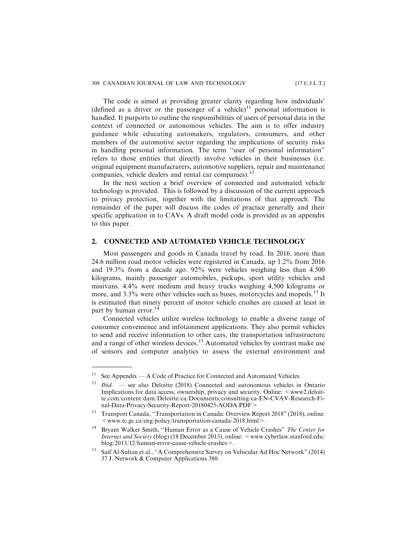The code is aimed at providing greater clarity regarding how individuals' (defined as a driver or the passenger of a vehicle)<sup>11</sup> personal information is handled. It purports to outline the responsibilities of users of personal data in the context of connected or autonomous vehicles. The aim is to offer industry guidance while educating automakers, regulators, consumers, and other members of the automotive sector regarding the implications of security risks in handling personal information. The term ''user of personal information" refers to those entities that directly involve vehicles in their businesses (i.e. original equipment manufacturers, automotive suppliers, repair and maintenance companies, vehicle dealers and rental car companies).<sup>12</sup>

In the next section a brief overview of connected and automated vehicle technology is provided. This is followed by a discussion of the current approach to privacy protection, together with the limitations of that approach. The remainder of the paper will discuss the codes of practice generally and their specific application in to CAVs. A draft model code is provided as an appendix to this paper.

## **2. CONNECTED AND AUTOMATED VEHICLE TECHNOLOGY**

Most passengers and goods in Canada travel by road. In 2016, more than 24.6 million road motor vehicles were registered in Canada, up 1.2% from 2016 and 19.3% from a decade ago. 92% were vehicles weighing less than 4,500 kilograms, mainly passenger automobiles, pickups, sport utility vehicles and minivans. 4.4% were medium and heavy trucks weighing 4,500 kilograms or more, and  $3.3\%$  were other vehicles such as buses, motorcycles and mopeds.<sup>13</sup> It is estimated that ninety percent of motor vehicle crashes are caused at least in part by human error.<sup>14</sup>

Connected vehicles utilize wireless technology to enable a diverse range of consumer convenience and infotainment applications. They also permit vehicles to send and receive information to other cars, the transportation infrastructure and a range of other wireless devices.<sup>15</sup> Automated vehicles by contrast make use of sensors and computer analytics to assess the external environment and

<sup>&</sup>lt;sup>11</sup> See Appendix — A Code of Practice for Connected and Automated Vehicles.

 $1bid.$  — see also Deloitte (2018) Connected and autonomous vehicles in Ontario Implications for data access, ownership, privacy and security. Online: <www2.deloitte.com/content/dam/Deloitte/ca/Documents/consulting/ca-EN-CVAV-Research-Final-Data-Privacy-Security-Report-20180425-AODA.PDF>

<sup>13</sup> Transport Canada, ''Transportation in Canada: Overview Report 2018" (2018), online:  $\langle$  www.tc.gc.ca/eng/policy/transportation-canada-2018.html $>$ .

<sup>&</sup>lt;sup>14</sup> Bryant Walker Smith, "Human Error as a Cause of Vehicle Crashes" The Center for Internet and Society (blog) (18 December 2013), online: <www.cyberlaw.stanford.edu/ blog/2013/12/human-error-cause-vehicle-crashes>.

<sup>&</sup>lt;sup>15</sup> Saif Al-Sultan et al., "A Comprehensive Survey on Vehicular Ad Hoc Network" (2014) 37 J. Network & Computer Applications 380.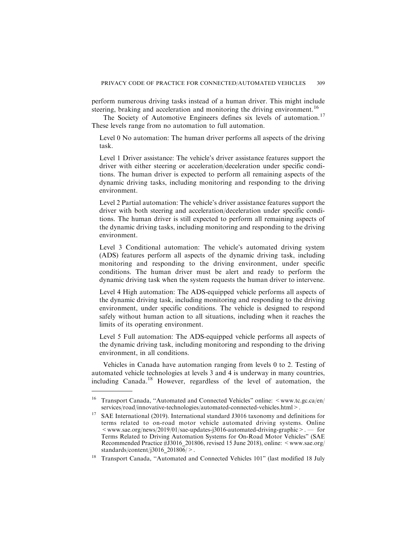perform numerous driving tasks instead of a human driver. This might include steering, braking and acceleration and monitoring the driving environment.<sup>16</sup>

The Society of Automotive Engineers defines six levels of automation.<sup>17</sup> These levels range from no automation to full automation.

Level 0 No automation: The human driver performs all aspects of the driving task.

Level 1 Driver assistance: The vehicle's driver assistance features support the driver with either steering or acceleration/deceleration under specific conditions. The human driver is expected to perform all remaining aspects of the dynamic driving tasks, including monitoring and responding to the driving environment.

Level 2 Partial automation: The vehicle's driver assistance features support the driver with both steering and acceleration/deceleration under specific conditions. The human driver is still expected to perform all remaining aspects of the dynamic driving tasks, including monitoring and responding to the driving environment.

Level 3 Conditional automation: The vehicle's automated driving system (ADS) features perform all aspects of the dynamic driving task, including monitoring and responding to the driving environment, under specific conditions. The human driver must be alert and ready to perform the dynamic driving task when the system requests the human driver to intervene.

Level 4 High automation: The ADS-equipped vehicle performs all aspects of the dynamic driving task, including monitoring and responding to the driving environment, under specific conditions. The vehicle is designed to respond safely without human action to all situations, including when it reaches the limits of its operating environment.

Level 5 Full automation: The ADS-equipped vehicle performs all aspects of the dynamic driving task, including monitoring and responding to the driving environment, in all conditions.

Vehicles in Canada have automation ranging from levels 0 to 2. Testing of automated vehicle technologies at levels 3 and 4 is underway in many countries, including Canada.<sup>18</sup> However, regardless of the level of automation, the

<sup>&</sup>lt;sup>16</sup> Transport Canada, "Automated and Connected Vehicles" online: <www.tc.gc.ca/en/ services/road/innovative-technologies/automated-connected-vehicles.html>.

<sup>&</sup>lt;sup>17</sup> SAE International (2019). International standard J3016 taxonomy and definitions for terms related to on-road motor vehicle automated driving systems. Online  $\leq$  www.sae.org/news/2019/01/sae-updates-j3016-automated-driving-graphic  $\geq$ . — for Terms Related to Driving Automation Systems for On-Road Motor Vehicles" (SAE Recommended Practice #J3016 201806, revised 15 June 2018), online: <www.sae.org/ standards/content/j3016\_201806/>.

<sup>18</sup> Transport Canada, ''Automated and Connected Vehicles 101" (last modified 18 July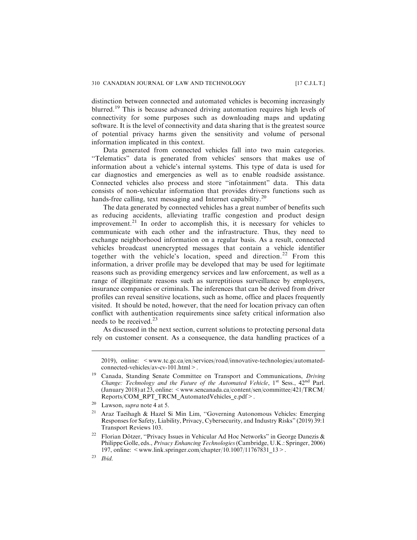distinction between connected and automated vehicles is becoming increasingly blurred.<sup>19</sup> This is because advanced driving automation requires high levels of connectivity for some purposes such as downloading maps and updating software. It is the level of connectivity and data sharing that is the greatest source of potential privacy harms given the sensitivity and volume of personal information implicated in this context.

Data generated from connected vehicles fall into two main categories. ''Telematics" data is generated from vehicles' sensors that makes use of information about a vehicle's internal systems. This type of data is used for car diagnostics and emergencies as well as to enable roadside assistance. Connected vehicles also process and store ''infotainment" data. This data consists of non-vehicular information that provides drivers functions such as hands-free calling, text messaging and Internet capability.<sup>20</sup>

The data generated by connected vehicles has a great number of benefits such as reducing accidents, alleviating traffic congestion and product design improvement.<sup>21</sup> In order to accomplish this, it is necessary for vehicles to communicate with each other and the infrastructure. Thus, they need to exchange neighborhood information on a regular basis. As a result, connected vehicles broadcast unencrypted messages that contain a vehicle identifier together with the vehicle's location, speed and direction.<sup>22</sup> From this information, a driver profile may be developed that may be used for legitimate reasons such as providing emergency services and law enforcement, as well as a range of illegitimate reasons such as surreptitious surveillance by employers, insurance companies or criminals. The inferences that can be derived from driver profiles can reveal sensitive locations, such as home, office and places frequently visited. It should be noted, however, that the need for location privacy can often conflict with authentication requirements since safety critical information also needs to be received. $2<sup>3</sup>$ 

As discussed in the next section, current solutions to protecting personal data rely on customer consent. As a consequence, the data handling practices of a

<sup>2019),</sup> online: <www.tc.gc.ca/en/services/road/innovative-technologies/automatedconnected-vehicles/av-cv-101.html>.

<sup>19</sup> Canada, Standing Senate Committee on Transport and Communications, Driving Change: Technology and the Future of the Automated Vehicle,  $1^{st}$  Sess.,  $42^{nd}$  Parl.  $(January 2018)$  at 23, online:  $\leq$  www.sencanada.ca/content/sen/committee/421/TRCM/ Reports/COM\_RPT\_TRCM\_AutomatedVehicles\_e.pdf>.

<sup>&</sup>lt;sup>20</sup> Lawson, *supra* note 4 at 5.

<sup>&</sup>lt;sup>21</sup> Araz Taeihagh & Hazel Si Min Lim, "Governing Autonomous Vehicles: Emerging Responses for Safety, Liability, Privacy, Cybersecurity, and Industry Risks" (2019) 39:1 Transport Reviews 103.

<sup>&</sup>lt;sup>22</sup> Florian Dötzer, "Privacy Issues in Vehicular Ad Hoc Networks" in George Danezis & Philippe Golle, eds., Privacy Enhancing Technologies(Cambridge, U.K.: Springer, 2006) 197, online: <www.link.springer.com/chapter/10.1007/11767831\_13>.

 $23$  *Ibid.*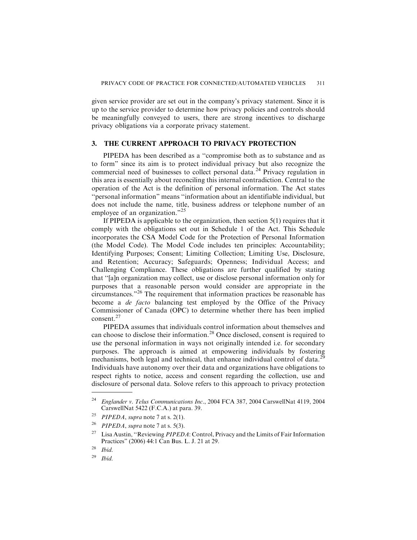given service provider are set out in the company's privacy statement. Since it is up to the service provider to determine how privacy policies and controls should be meaningfully conveyed to users, there are strong incentives to discharge privacy obligations via a corporate privacy statement.

## **3. THE CURRENT APPROACH TO PRIVACY PROTECTION**

PIPEDA has been described as a ''compromise both as to substance and as to form" since its aim is to protect individual privacy but also recognize the commercial need of businesses to collect personal data.<sup>24</sup> Privacy regulation in this area is essentially about reconciling this internal contradiction. Central to the operation of the Act is the definition of personal information. The Act states ''personal information" means ''information about an identifiable individual, but does not include the name, title, business address or telephone number of an employee of an organization."<sup>25</sup>

If PIPEDA is applicable to the organization, then section 5(1) requires that it comply with the obligations set out in Schedule 1 of the Act. This Schedule incorporates the CSA Model Code for the Protection of Personal Information (the Model Code). The Model Code includes ten principles: Accountability; Identifying Purposes; Consent; Limiting Collection; Limiting Use, Disclosure, and Retention; Accuracy; Safeguards; Openness; Individual Access; and Challenging Compliance. These obligations are further qualified by stating that ''[a]n organization may collect, use or disclose personal information only for purposes that a reasonable person would consider are appropriate in the circumstances."<sup>26</sup> The requirement that information practices be reasonable has become a *de facto* balancing test employed by the Office of the Privacy Commissioner of Canada (OPC) to determine whether there has been implied consent.<sup>27</sup>

PIPEDA assumes that individuals control information about themselves and can choose to disclose their information.<sup>28</sup> Once disclosed, consent is required to use the personal information in ways not originally intended i.e. for secondary purposes. The approach is aimed at empowering individuals by fostering mechanisms, both legal and technical, that enhance individual control of data.<sup>25</sup> Individuals have autonomy over their data and organizations have obligations to respect rights to notice, access and consent regarding the collection, use and disclosure of personal data. Solove refers to this approach to privacy protection

<sup>&</sup>lt;sup>24</sup> Englander v. Telus Communications Inc., 2004 FCA 387, 2004 CarswellNat 4119, 2004 CarswellNat 5422 (F.C.A.) at para. 39.

<sup>&</sup>lt;sup>25</sup> *PIPEDA*, supra note 7 at s. 2(1).<br><sup>26</sup> *PIPEDA* supra note 7 at s. 5(3)

PIPEDA, supra note 7 at s.  $5(3)$ .

<sup>&</sup>lt;sup>27</sup> Lisa Austin, "Reviewing *PIPEDA*: Control, Privacy and the Limits of Fair Information Practices" (2006) 44:1 Can Bus. L. J. 21 at 29.

 $28$  Ibid.

 $29$  Ibid.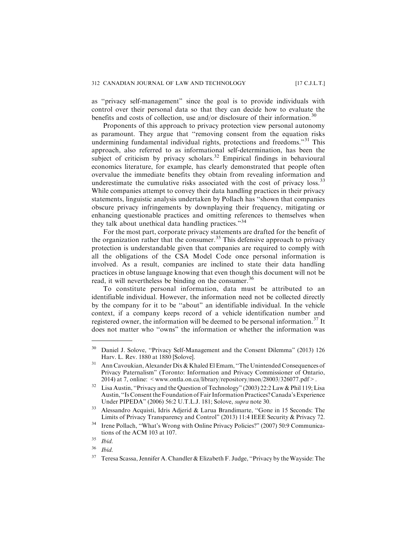as ''privacy self-management" since the goal is to provide individuals with control over their personal data so that they can decide how to evaluate the benefits and costs of collection, use and/or disclosure of their information.<sup>30</sup>

Proponents of this approach to privacy protection view personal autonomy as paramount. They argue that ''removing consent from the equation risks undermining fundamental individual rights, protections and freedoms."<sup>31</sup> This approach, also referred to as informational self-determination, has been the subject of criticism by privacy scholars.<sup>32</sup> Empirical findings in behavioural economics literature, for example, has clearly demonstrated that people often overvalue the immediate benefits they obtain from revealing information and underestimate the cumulative risks associated with the cost of privacy loss.<sup>33</sup> While companies attempt to convey their data handling practices in their privacy statements, linguistic analysis undertaken by Pollach has ''shown that companies obscure privacy infringements by downplaying their frequency, mitigating or enhancing questionable practices and omitting references to themselves when they talk about unethical data handling practices."<sup>34</sup>

For the most part, corporate privacy statements are drafted for the benefit of the organization rather that the consumer.<sup>35</sup> This defensive approach to privacy protection is understandable given that companies are required to comply with all the obligations of the CSA Model Code once personal information is involved. As a result, companies are inclined to state their data handling practices in obtuse language knowing that even though this document will not be read, it will nevertheless be binding on the consumer.<sup>36</sup>

To constitute personal information, data must be attributed to an identifiable individual. However, the information need not be collected directly by the company for it to be ''about" an identifiable individual. In the vehicle context, if a company keeps record of a vehicle identification number and registered owner, the information will be deemed to be personal information.<sup>37</sup> It does not matter who ''owns" the information or whether the information was

<sup>&</sup>lt;sup>30</sup> Daniel J. Solove, "Privacy Self-Management and the Consent Dilemma" (2013) 126 Harv. L. Rev. 1880 at 1880 [Solove].

<sup>&</sup>lt;sup>31</sup> Ann Cavoukian, Alexander Dix & Khaled El Emam, "The Unintended Consequences of Privacy Paternalism" (Toronto: Information and Privacy Commissioner of Ontario, 2014) at 7, online:  $\leq$  www.ontla.on.ca/library/repository/mon/28003/326077.pdf $>$ .

<sup>&</sup>lt;sup>32</sup> Lisa Austin, "Privacy and the Question of Technology" (2003) 22:2 Law & Phil 119; Lisa Austin, ''Is Consent the Foundation of Fair Information Practices? Canada's Experience Under PIPEDA" (2006) 56:2 U.T.L.J. 181; Solove, supra note 30.

<sup>33</sup> Alessandro Acquisti, Idris Adjerid & Larua Brandimarte, ''Gone in 15 Seconds: The Limits of Privacy Transparency and Control" (2013) 11:4 IEEE Security & Privacy 72.

<sup>&</sup>lt;sup>34</sup> Irene Pollach, "What's Wrong with Online Privacy Policies?" (2007) 50:9 Communications of the ACM 103 at 107.

 $35$  Ibid.

<sup>36</sup> Ibid.

<sup>37</sup> Teresa Scassa, Jennifer A. Chandler & Elizabeth F. Judge, ''Privacy by the Wayside: The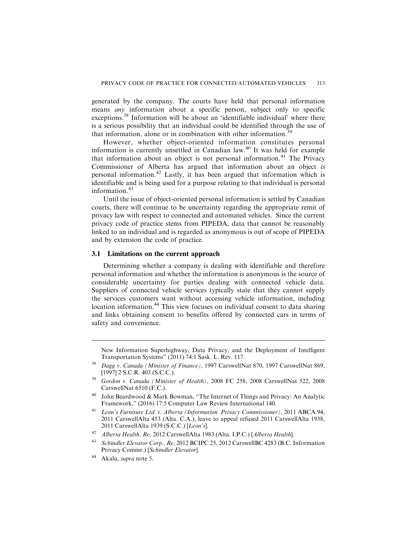generated by the company. The courts have held that personal information means *any* information about a specific person, subject only to specific exceptions.<sup>38</sup> Information will be about an 'identifiable individual' where there is a serious possibility that an individual could be identified through the use of that information, alone or in combination with other information.<sup>39</sup>

However, whether object-oriented information constitutes personal information is currently unsettled in Canadian law.<sup>40</sup> It was held for example that information about an object is not personal information.<sup>41</sup> The Privacy Commissioner of Alberta has argued that information about an object is personal information.<sup>42</sup> Lastly, it has been argued that information which is identifiable and is being used for a purpose relating to that individual is personal information.<sup>43</sup>

Until the issue of object-oriented personal information is settled by Canadian courts, there will continue to be uncertainty regarding the appropriate remit of privacy law with respect to connected and automated vehicles. Since the current privacy code of practice stems from PIPEDA, data that cannot be reasonably linked to an individual and is regarded as anonymous is out of scope of PIPEDA and by extension the code of practice.

#### **3.1 Limitations on the current approach**

Determining whether a company is dealing with identifiable and therefore personal information and whether the information is anonymous is the source of considerable uncertainty for parties dealing with connected vehicle data. Suppliers of connected vehicle services typically state that they cannot supply the services customers want without accessing vehicle information, including location information.<sup>44</sup> This view focuses on individual consent to data sharing and links obtaining consent to benefits offered by connected cars in terms of safety and convenience.

New Information Superhighway, Data Privacy, and the Deployment of Intelligent Transportation Systems" (2011) 74:1 Sask. L. Rev. 117.

<sup>&</sup>lt;sup>38</sup> Dagg v. Canada (Minister of Finance), 1997 CarswellNat 870, 1997 CarswellNat 869, [1997] 2 S.C.R. 403 (S.C.C.).

 $39$  Gordon v. Canada (Minister of Health), 2008 FC 258, 2008 CarswellNat 522, 2008 CarswellNat 6510 (F.C.).

<sup>40</sup> John Beardwood & Mark Bowman, ''The Internet of Things and Privacy: An Analytic Framework," (2016) 17:5 Computer Law Review International 140.

<sup>41</sup> Leon's Furniture Ltd. v. Alberta (Information Privacy Commissioner), 2011 ABCA 94, 2011 CarswellAlta 453 (Alta. C.A.), leave to appeal refused 2011 CarswellAlta 1938, 2011 CarswellAlta 1939 (S.C.C.) [Leon's].

<sup>42</sup> Alberta Health, Re, 2012 CarswellAlta 1983 (Alta. I.P.C.) [Alberta Health].

<sup>43</sup> Schindler Elevator Corp., Re, 2012 BCIPC 25, 2012 CarswellBC 4283 (B.C. Information Privacy Commr.) [Schindler Elevator].

<sup>44</sup> Akalu, supra note 5.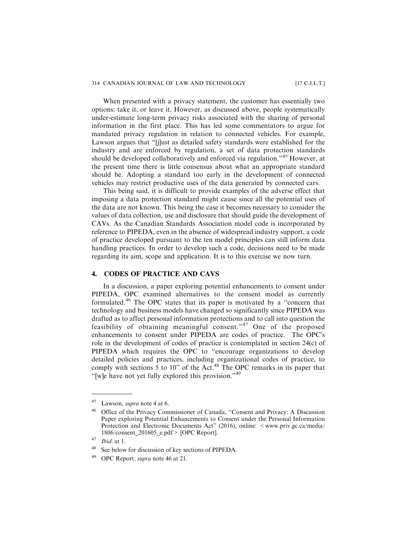#### 314 CANADIAN JOURNAL OF LAW AND TECHNOLOGY [17 C.J.L.T.]

When presented with a privacy statement, the customer has essentially two options: take it, or leave it. However, as discussed above, people systematically under-estimate long-term privacy risks associated with the sharing of personal information in the first place. This has led some commentators to argue for mandated privacy regulation in relation to connected vehicles. For example, Lawson argues that ''[j]ust as detailed safety standards were established for the industry and are enforced by regulation, a set of data protection standards should be developed collaboratively and enforced via regulation."<sup>45</sup> However, at the present time there is little consensus about what an appropriate standard should be. Adopting a standard too early in the development of connected vehicles may restrict productive uses of the data generated by connected cars.

This being said, it is difficult to provide examples of the adverse effect that imposing a data protection standard might cause since all the potential uses of the data are not known. This being the case it becomes necessary to consider the values of data collection, use and disclosure that should guide the development of CAVs. As the Canadian Standards Association model code is incorporated by reference to PIPEDA, even in the absence of widespread industry support, a code of practice developed pursuant to the ten model principles can still inform data handling practices. In order to develop such a code, decisions need to be made regarding its aim, scope and application. It is to this exercise we now turn.

## **4. CODES OF PRACTICE AND CAVS**

In a discussion, a paper exploring potential enhancements to consent under PIPEDA, OPC examined alternatives to the consent model as currently formulated.<sup>46</sup> The OPC states that its paper is motivated by a ''concern that technology and business models have changed so significantly since PIPEDA was drafted as to affect personal information protections and to call into question the feasibility of obtaining meaningful consent."<sup>47</sup> One of the proposed enhancements to consent under PIPEDA are codes of practice. The OPC's role in the development of codes of practice is contemplated in section 24(c) of PIPEDA which requires the OPC to ''encourage organizations to develop detailed policies and practices, including organizational codes of practice, to comply with sections 5 to 10" of the Act.<sup>48</sup> The OPC remarks in its paper that ''[w]e have not yet fully explored this provision."<sup>49</sup>

<sup>45</sup> Lawson, supra note 4 at 6.

<sup>46</sup> Office of the Privacy Commissioner of Canada, ''Consent and Privacy: A Discussion Paper exploring Potential Enhancements to Consent under the Personal Information Protection and Electronic Documents Act" (2016), online: <www.priv.gc.ca/media/ 1806/consent\_201605\_e.pdf> [OPC Report].

 $47$  *Ibid.* at 1.

<sup>&</sup>lt;sup>48</sup> See below for discussion of key sections of PIPEDA.

OPC Report, *supra* note 46 at 21.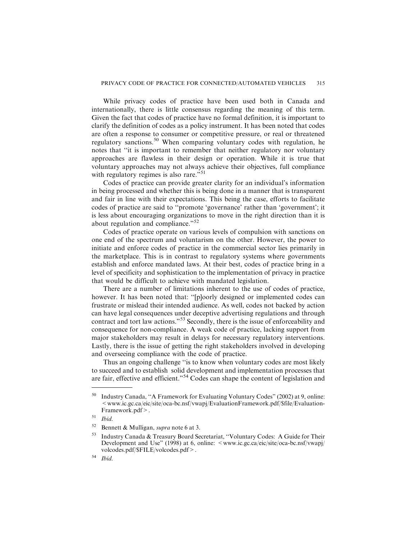While privacy codes of practice have been used both in Canada and internationally, there is little consensus regarding the meaning of this term. Given the fact that codes of practice have no formal definition, it is important to clarify the definition of codes as a policy instrument. It has been noted that codes are often a response to consumer or competitive pressure, or real or threatened regulatory sanctions.<sup>50</sup> When comparing voluntary codes with regulation, he notes that ''it is important to remember that neither regulatory nor voluntary approaches are flawless in their design or operation. While it is true that voluntary approaches may not always achieve their objectives, full compliance with regulatory regimes is also rare."<sup>51</sup>

Codes of practice can provide greater clarity for an individual's information in being processed and whether this is being done in a manner that is transparent and fair in line with their expectations. This being the case, efforts to facilitate codes of practice are said to ''promote 'governance' rather than 'government'; it is less about encouraging organizations to move in the right direction than it is about regulation and compliance."<sup>52</sup>

Codes of practice operate on various levels of compulsion with sanctions on one end of the spectrum and voluntarism on the other. However, the power to initiate and enforce codes of practice in the commercial sector lies primarily in the marketplace. This is in contrast to regulatory systems where governments establish and enforce mandated laws. At their best, codes of practice bring in a level of specificity and sophistication to the implementation of privacy in practice that would be difficult to achieve with mandated legislation.

There are a number of limitations inherent to the use of codes of practice, however. It has been noted that: ''[p]oorly designed or implemented codes can frustrate or mislead their intended audience. As well, codes not backed by action can have legal consequences under deceptive advertising regulations and through contract and tort law actions."<sup>53</sup> Secondly, there is the issue of enforceability and consequence for non-compliance. A weak code of practice, lacking support from major stakeholders may result in delays for necessary regulatory interventions. Lastly, there is the issue of getting the right stakeholders involved in developing and overseeing compliance with the code of practice.

Thus an ongoing challenge ''is to know when voluntary codes are most likely to succeed and to establish solid development and implementation processes that are fair, effective and efficient."<sup>54</sup> Codes can shape the content of legislation and

<sup>50</sup> Industry Canada, ''A Framework for Evaluating Voluntary Codes" (2002) at 9, online:  $\leq$  www.ic.gc.ca/eic/site/oca-bc.nsf/vwapj/EvaluationFramework.pdf/\$file/Evaluation-Framework.pdf>.

 $51$  Ibid.

<sup>&</sup>lt;sup>52</sup> Bennett & Mulligan, *supra* note 6 at 3.

<sup>53</sup> Industry Canada & Treasury Board Secretariat, ''Voluntary Codes: A Guide for Their Development and Use" (1998) at 6, online:  $\leq$ www.ic.gc.ca/eic/site/oca-bc.nsf/vwapj/ volcodes.pdf/\$FILE/volcodes.pdf>.

<sup>54</sup> Ibid.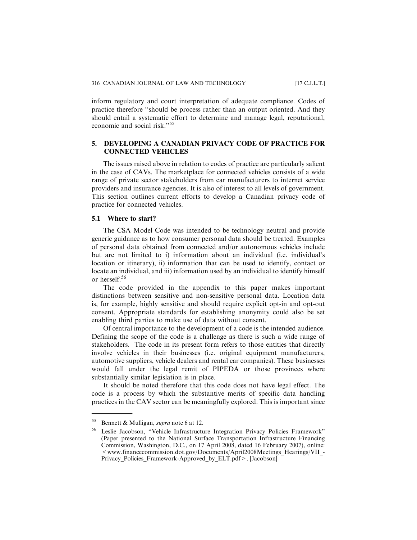inform regulatory and court interpretation of adequate compliance. Codes of practice therefore ''should be process rather than an output oriented. And they should entail a systematic effort to determine and manage legal, reputational, economic and social risk."<sup>55</sup>

## **5. DEVELOPING A CANADIAN PRIVACY CODE OF PRACTICE FOR CONNECTED VEHICLES**

The issues raised above in relation to codes of practice are particularly salient in the case of CAVs. The marketplace for connected vehicles consists of a wide range of private sector stakeholders from car manufacturers to internet service providers and insurance agencies. It is also of interest to all levels of government. This section outlines current efforts to develop a Canadian privacy code of practice for connected vehicles.

## **5.1 Where to start?**

The CSA Model Code was intended to be technology neutral and provide generic guidance as to how consumer personal data should be treated. Examples of personal data obtained from connected and/or autonomous vehicles include but are not limited to i) information about an individual (i.e. individual's location or itinerary), ii) information that can be used to identify, contact or locate an individual, and iii) information used by an individual to identify himself or herself.<sup>56</sup>

The code provided in the appendix to this paper makes important distinctions between sensitive and non-sensitive personal data. Location data is, for example, highly sensitive and should require explicit opt-in and opt-out consent. Appropriate standards for establishing anonymity could also be set enabling third parties to make use of data without consent.

Of central importance to the development of a code is the intended audience. Defining the scope of the code is a challenge as there is such a wide range of stakeholders. The code in its present form refers to those entities that directly involve vehicles in their businesses (i.e. original equipment manufacturers, automotive suppliers, vehicle dealers and rental car companies). These businesses would fall under the legal remit of PIPEDA or those provinces where substantially similar legislation is in place.

It should be noted therefore that this code does not have legal effect. The code is a process by which the substantive merits of specific data handling practices in the CAV sector can be meaningfully explored. This is important since

<sup>&</sup>lt;sup>55</sup> Bennett & Mulligan, *supra* note 6 at 12.

Leslie Jacobson, "Vehicle Infrastructure Integration Privacy Policies Framework" (Paper presented to the National Surface Transportation Infrastructure Financing Commission, Washington, D.C., on 17 April 2008, dated 16 February 2007), online:  $\leq$  www.financecommission.dot.gov/Documents/April2008Meetings\_Hearings/VII\_-Privacy Policies Framework-Approved by ELT.pdf>. [Jacobson]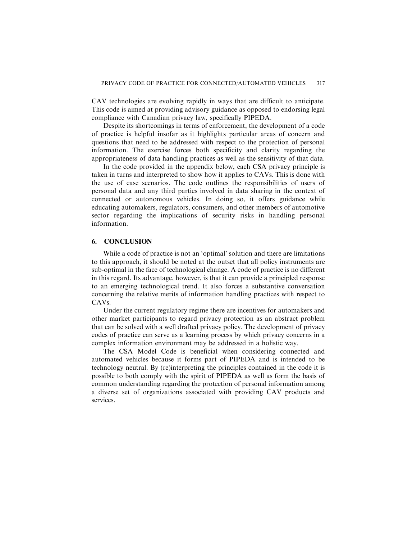CAV technologies are evolving rapidly in ways that are difficult to anticipate. This code is aimed at providing advisory guidance as opposed to endorsing legal compliance with Canadian privacy law, specifically PIPEDA.

Despite its shortcomings in terms of enforcement, the development of a code of practice is helpful insofar as it highlights particular areas of concern and questions that need to be addressed with respect to the protection of personal information. The exercise forces both specificity and clarity regarding the appropriateness of data handling practices as well as the sensitivity of that data.

In the code provided in the appendix below, each CSA privacy principle is taken in turns and interpreted to show how it applies to CAVs. This is done with the use of case scenarios. The code outlines the responsibilities of users of personal data and any third parties involved in data sharing in the context of connected or autonomous vehicles. In doing so, it offers guidance while educating automakers, regulators, consumers, and other members of automotive sector regarding the implications of security risks in handling personal information.

## **6. CONCLUSION**

While a code of practice is not an 'optimal' solution and there are limitations to this approach, it should be noted at the outset that all policy instruments are sub-optimal in the face of technological change. A code of practice is no different in this regard. Its advantage, however, is that it can provide a principled response to an emerging technological trend. It also forces a substantive conversation concerning the relative merits of information handling practices with respect to CAVs.

Under the current regulatory regime there are incentives for automakers and other market participants to regard privacy protection as an abstract problem that can be solved with a well drafted privacy policy. The development of privacy codes of practice can serve as a learning process by which privacy concerns in a complex information environment may be addressed in a holistic way.

The CSA Model Code is beneficial when considering connected and automated vehicles because it forms part of PIPEDA and is intended to be technology neutral. By (re)interpreting the principles contained in the code it is possible to both comply with the spirit of PIPEDA as well as form the basis of common understanding regarding the protection of personal information among a diverse set of organizations associated with providing CAV products and services.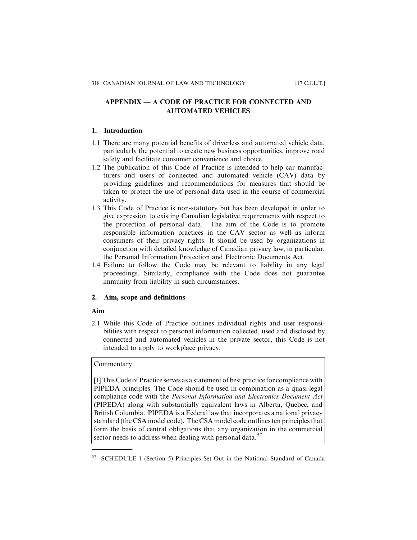## APPENDIX — A CODE OF PRACTICE FOR CONNECTED AND AUTOMATED VEHICLES

## **1. Introduction**

- 1.1 There are many potential benefits of driverless and automated vehicle data, particularly the potential to create new business opportunities, improve road safety and facilitate consumer convenience and choice.
- 1.2 The publication of this Code of Practice is intended to help car manufacturers and users of connected and automated vehicle (CAV) data by providing guidelines and recommendations for measures that should be taken to protect the use of personal data used in the course of commercial activity.
- 1.3 This Code of Practice is non-statutory but has been developed in order to give expression to existing Canadian legislative requirements with respect to the protection of personal data. The aim of the Code is to promote responsible information practices in the CAV sector as well as inform consumers of their privacy rights. It should be used by organizations in conjunction with detailed knowledge of Canadian privacy law, in particular, the Personal Information Protection and Electronic Documents Act.
- 1.4 Failure to follow the Code may be relevant to liability in any legal proceedings. Similarly, compliance with the Code does not guarantee immunity from liability in such circumstances.

## **2. Aim, scope and definitions**

#### **Aim**

2.1 While this Code of Practice outlines individual rights and user responsibilities with respect to personal information collected, used and disclosed by connected and automated vehicles in the private sector, this Code is not intended to apply to workplace privacy.

## Commentary

[1] This Code of Practice serves as a statement of best practice for compliance with PIPEDA principles. The Code should be used in combination as a quasi-legal compliance code with the Personal Information and Electronics Document Act (PIPEDA) along with substantially equivalent laws in Alberta, Quebec, and British Columbia. PIPEDA is a Federal law that incorporates a national privacy standard (the CSA model code). The CSA model code outlines ten principles that form the basis of central obligations that any organization in the commercial sector needs to address when dealing with personal data.<sup>57</sup>

<sup>57</sup> SCHEDULE 1 (Section 5) Principles Set Out in the National Standard of Canada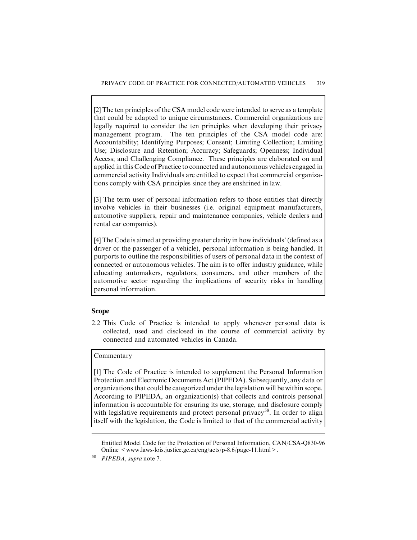[2] The ten principles of the CSA model code were intended to serve as a template that could be adapted to unique circumstances. Commercial organizations are legally required to consider the ten principles when developing their privacy management program. The ten principles of the CSA model code are: Accountability; Identifying Purposes; Consent; Limiting Collection; Limiting Use; Disclosure and Retention; Accuracy; Safeguards; Openness; Individual Access; and Challenging Compliance. These principles are elaborated on and applied in this Code of Practice to connected and autonomous vehicles engaged in commercial activity Individuals are entitled to expect that commercial organizations comply with CSA principles since they are enshrined in law.

[3] The term user of personal information refers to those entities that directly involve vehicles in their businesses (i.e. original equipment manufacturers, automotive suppliers, repair and maintenance companies, vehicle dealers and rental car companies).

[4] The Code is aimed at providing greater clarity in how individuals' (defined as a driver or the passenger of a vehicle), personal information is being handled. It purports to outline the responsibilities of users of personal data in the context of connected or autonomous vehicles. The aim is to offer industry guidance, while educating automakers, regulators, consumers, and other members of the automotive sector regarding the implications of security risks in handling personal information.

## **Scope**

2.2 This Code of Practice is intended to apply whenever personal data is collected, used and disclosed in the course of commercial activity by connected and automated vehicles in Canada.

## Commentary

[1] The Code of Practice is intended to supplement the Personal Information Protection and Electronic Documents Act (PIPEDA). Subsequently, any data or organizations that could be categorized under the legislation will be within scope. According to PIPEDA, an organization(s) that collects and controls personal information is accountable for ensuring its use, storage, and disclosure comply with legislative requirements and protect personal privacy<sup>58</sup>. In order to align itself with the legislation, the Code is limited to that of the commercial activity

Entitled Model Code for the Protection of Personal Information, CAN/CSA-Q830-96 Online <www.laws-lois.justice.gc.ca/eng/acts/p-8.6/page-11.html>.

PIPEDA, supra note 7.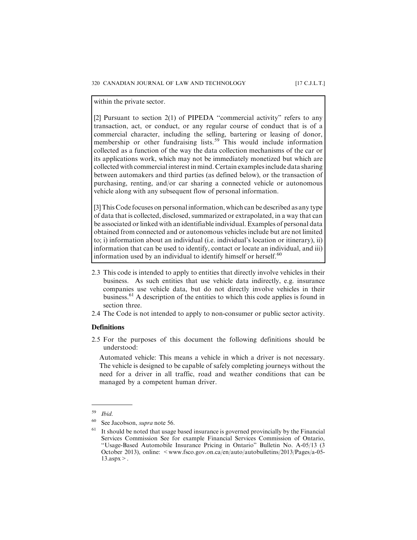within the private sector.

[2] Pursuant to section 2(1) of PIPEDA ''commercial activity" refers to any transaction, act, or conduct, or any regular course of conduct that is of a commercial character, including the selling, bartering or leasing of donor, membership or other fundraising lists.<sup>59</sup> This would include information collected as a function of the way the data collection mechanisms of the car or its applications work, which may not be immediately monetized but which are collected with commercial interest in mind. Certain examples include data sharing between automakers and third parties (as defined below), or the transaction of purchasing, renting, and/or car sharing a connected vehicle or autonomous vehicle along with any subsequent flow of personal information.

[3] This Code focuses on personal information, which can be described as any type of data that is collected, disclosed, summarized or extrapolated, in a way that can be associated or linked with an identifiable individual. Examples of personal data obtained from connected and or autonomous vehicles include but are not limited to; i) information about an individual (i.e. individual's location or itinerary), ii) information that can be used to identify, contact or locate an individual, and iii) information used by an individual to identify himself or herself.<sup>60</sup>

- 2.3 This code is intended to apply to entities that directly involve vehicles in their business. As such entities that use vehicle data indirectly, e.g. insurance companies use vehicle data, but do not directly involve vehicles in their business.<sup>61</sup> A description of the entities to which this code applies is found in section three.
- 2.4 The Code is not intended to apply to non-consumer or public sector activity.

#### **Definitions**

2.5 For the purposes of this document the following definitions should be understood:

Automated vehicle: This means a vehicle in which a driver is not necessary. The vehicle is designed to be capable of safely completing journeys without the need for a driver in all traffic, road and weather conditions that can be managed by a competent human driver.

 $59$  Ibid.

See Jacobson, *supra* note 56.

It should be noted that usage based insurance is governed provincially by the Financial Services Commission See for example Financial Services Commission of Ontario, ''Usage-Based Automobile Insurance Pricing in Ontario" Bulletin No. A-05/13 (3 October 2013), online: <www.fsco.gov.on.ca/en/auto/autobulletins/2013/Pages/a-05-  $13.$ aspx $>$ .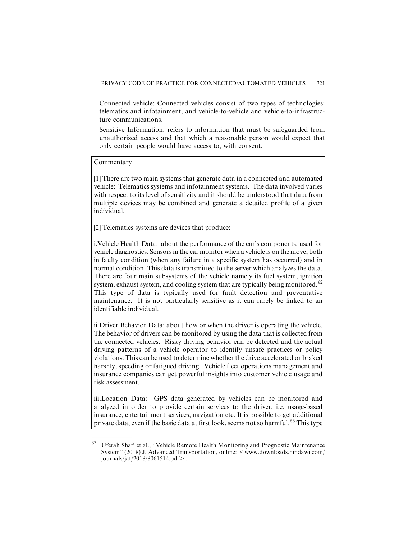Connected vehicle: Connected vehicles consist of two types of technologies: telematics and infotainment, and vehicle-to-vehicle and vehicle-to-infrastructure communications.

Sensitive Information: refers to information that must be safeguarded from unauthorized access and that which a reasonable person would expect that only certain people would have access to, with consent.

#### Commentary

[1] There are two main systems that generate data in a connected and automated vehicle: Telematics systems and infotainment systems. The data involved varies with respect to its level of sensitivity and it should be understood that data from multiple devices may be combined and generate a detailed profile of a given individual.

[2] Telematics systems are devices that produce:

i.Vehicle Health Data: about the performance of the car's components; used for vehicle diagnostics. Sensors in the car monitor when a vehicle is on the move, both in faulty condition (when any failure in a specific system has occurred) and in normal condition. This data is transmitted to the server which analyzes the data. There are four main subsystems of the vehicle namely its fuel system, ignition system, exhaust system, and cooling system that are typically being monitored.<sup>62</sup> This type of data is typically used for fault detection and preventative maintenance. It is not particularly sensitive as it can rarely be linked to an identifiable individual.

ii.Driver Behavior Data: about how or when the driver is operating the vehicle. The behavior of drivers can be monitored by using the data that is collected from the connected vehicles. Risky driving behavior can be detected and the actual driving patterns of a vehicle operator to identify unsafe practices or policy violations. This can be used to determine whether the drive accelerated or braked harshly, speeding or fatigued driving. Vehicle fleet operations management and insurance companies can get powerful insights into customer vehicle usage and risk assessment.

iii.Location Data: GPS data generated by vehicles can be monitored and analyzed in order to provide certain services to the driver, i.e. usage-based insurance, entertainment services, navigation etc. It is possible to get additional private data, even if the basic data at first look, seems not so harmful.<sup>63</sup> This type

<sup>62</sup> Uferah Shafi et al., ''Vehicle Remote Health Monitoring and Prognostic Maintenance System" (2018) J. Advanced Transportation, online: <www.downloads.hindawi.com/ journals/jat/2018/8061514.pdf>.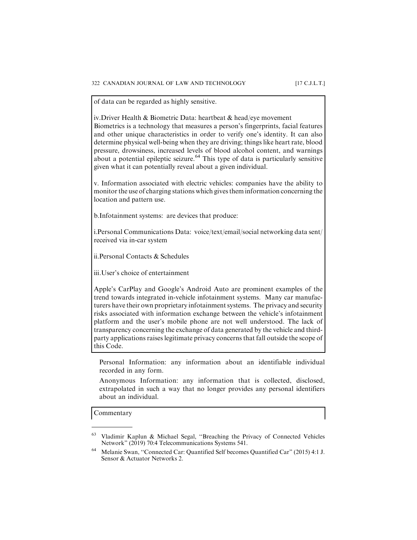of data can be regarded as highly sensitive.

iv.Driver Health & Biometric Data: heartbeat & head/eye movement Biometrics is a technology that measures a person's fingerprints, facial features and other unique characteristics in order to verify one's identity. It can also determine physical well-being when they are driving; things like heart rate, blood pressure, drowsiness, increased levels of blood alcohol content, and warnings about a potential epileptic seizure.<sup>64</sup> This type of data is particularly sensitive given what it can potentially reveal about a given individual.

v. Information associated with electric vehicles: companies have the ability to monitor the use of charging stations which gives them information concerning the location and pattern use.

b.Infotainment systems: are devices that produce:

i.Personal Communications Data: voice/text/email/social networking data sent/ received via in-car system

ii.Personal Contacts & Schedules

iii.User's choice of entertainment

Apple's CarPlay and Google's Android Auto are prominent examples of the trend towards integrated in-vehicle infotainment systems. Many car manufacturers have their own proprietary infotainment systems. The privacy and security risks associated with information exchange between the vehicle's infotainment platform and the user's mobile phone are not well understood. The lack of transparency concerning the exchange of data generated by the vehicle and thirdparty applications raises legitimate privacy concerns that fall outside the scope of this Code.

Personal Information: any information about an identifiable individual recorded in any form.

Anonymous Information: any information that is collected, disclosed, extrapolated in such a way that no longer provides any personal identifiers about an individual.

Commentary

<sup>63</sup> Vladimir Kaplun & Michael Segal, ''Breaching the Privacy of Connected Vehicles Network" (2019) 70:4 Telecommunications Systems 541.

<sup>64</sup> Melanie Swan, ''Connected Car: Quantified Self becomes Quantified Car" (2015) 4:1 J. Sensor & Actuator Networks 2.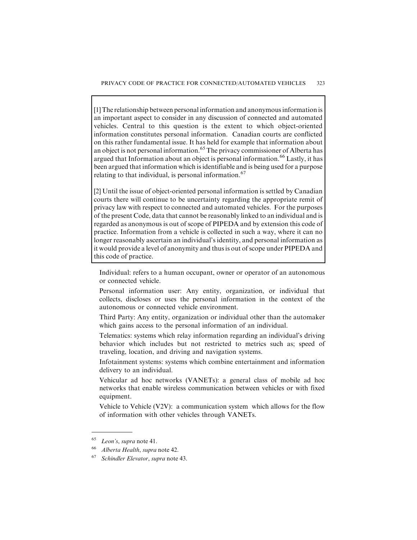[1] The relationship between personal information and anonymous information is an important aspect to consider in any discussion of connected and automated vehicles. Central to this question is the extent to which object-oriented information constitutes personal information. Canadian courts are conflicted on this rather fundamental issue. It has held for example that information about an object is not personal information.<sup>65</sup> The privacy commissioner of Alberta has argued that Information about an object is personal information.<sup>66</sup> Lastly, it has been argued that information which is identifiable and is being used for a purpose relating to that individual, is personal information.<sup>67</sup>

[2] Until the issue of object-oriented personal information is settled by Canadian courts there will continue to be uncertainty regarding the appropriate remit of privacy law with respect to connected and automated vehicles. For the purposes of the present Code, data that cannot be reasonably linked to an individual and is regarded as anonymous is out of scope of PIPEDA and by extension this code of practice. Information from a vehicle is collected in such a way, where it can no longer reasonably ascertain an individual's identity, and personal information as it would provide a level of anonymity and thus is out of scope under PIPEDA and this code of practice.

Individual: refers to a human occupant, owner or operator of an autonomous or connected vehicle.

Personal information user: Any entity, organization, or individual that collects, discloses or uses the personal information in the context of the autonomous or connected vehicle environment.

Third Party: Any entity, organization or individual other than the automaker which gains access to the personal information of an individual.

Telematics: systems which relay information regarding an individual's driving behavior which includes but not restricted to metrics such as; speed of traveling, location, and driving and navigation systems.

Infotainment systems: systems which combine entertainment and information delivery to an individual.

Vehicular ad hoc networks (VANETs): a general class of mobile ad hoc networks that enable wireless communication between vehicles or with fixed equipment.

Vehicle to Vehicle (V2V): a communication system which allows for the flow of information with other vehicles through VANETs.

<sup>65</sup> Leon's, supra note 41.

<sup>66</sup> Alberta Health, supra note 42.

Schindler Elevator, supra note 43.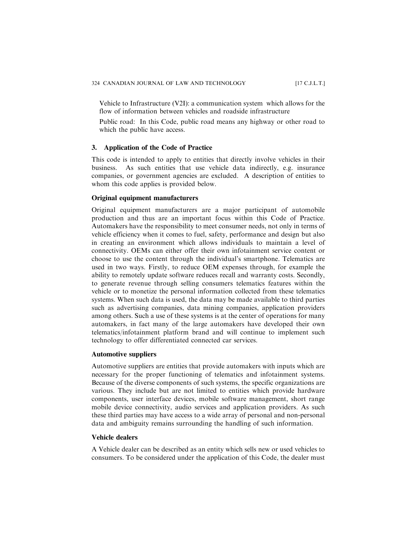Vehicle to Infrastructure (V2I): a communication system which allows for the flow of information between vehicles and roadside infrastructure

Public road: In this Code, public road means any highway or other road to which the public have access.

#### **3. Application of the Code of Practice**

This code is intended to apply to entities that directly involve vehicles in their business. As such entities that use vehicle data indirectly, e.g. insurance companies, or government agencies are excluded. A description of entities to whom this code applies is provided below.

## **Original equipment manufacturers**

Original equipment manufacturers are a major participant of automobile production and thus are an important focus within this Code of Practice. Automakers have the responsibility to meet consumer needs, not only in terms of vehicle efficiency when it comes to fuel, safety, performance and design but also in creating an environment which allows individuals to maintain a level of connectivity. OEMs can either offer their own infotainment service content or choose to use the content through the individual's smartphone. Telematics are used in two ways. Firstly, to reduce OEM expenses through, for example the ability to remotely update software reduces recall and warranty costs. Secondly, to generate revenue through selling consumers telematics features within the vehicle or to monetize the personal information collected from these telematics systems. When such data is used, the data may be made available to third parties such as advertising companies, data mining companies, application providers among others. Such a use of these systems is at the center of operations for many automakers, in fact many of the large automakers have developed their own telematics/infotainment platform brand and will continue to implement such technology to offer differentiated connected car services.

#### **Automotive suppliers**

Automotive suppliers are entities that provide automakers with inputs which are necessary for the proper functioning of telematics and infotainment systems. Because of the diverse components of such systems, the specific organizations are various. They include but are not limited to entities which provide hardware components, user interface devices, mobile software management, short range mobile device connectivity, audio services and application providers. As such these third parties may have access to a wide array of personal and non-personal data and ambiguity remains surrounding the handling of such information.

#### **Vehicle dealers**

A Vehicle dealer can be described as an entity which sells new or used vehicles to consumers. To be considered under the application of this Code, the dealer must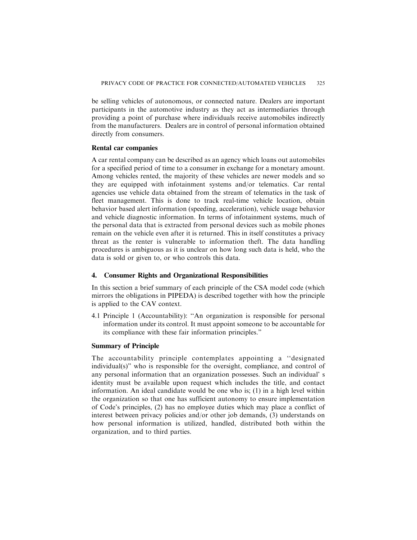be selling vehicles of autonomous, or connected nature. Dealers are important participants in the automotive industry as they act as intermediaries through providing a point of purchase where individuals receive automobiles indirectly from the manufacturers. Dealers are in control of personal information obtained directly from consumers.

#### **Rental car companies**

A car rental company can be described as an agency which loans out automobiles for a specified period of time to a consumer in exchange for a monetary amount. Among vehicles rented, the majority of these vehicles are newer models and so they are equipped with infotainment systems and/or telematics. Car rental agencies use vehicle data obtained from the stream of telematics in the task of fleet management. This is done to track real-time vehicle location, obtain behavior based alert information (speeding, acceleration), vehicle usage behavior and vehicle diagnostic information. In terms of infotainment systems, much of the personal data that is extracted from personal devices such as mobile phones remain on the vehicle even after it is returned. This in itself constitutes a privacy threat as the renter is vulnerable to information theft. The data handling procedures is ambiguous as it is unclear on how long such data is held, who the data is sold or given to, or who controls this data.

#### **4. Consumer Rights and Organizational Responsibilities**

In this section a brief summary of each principle of the CSA model code (which mirrors the obligations in PIPEDA) is described together with how the principle is applied to the CAV context.

4.1 Principle 1 (Accountability): ''An organization is responsible for personal information under its control. It must appoint someone to be accountable for its compliance with these fair information principles."

## **Summary of Principle**

The accountability principle contemplates appointing a ''designated individual(s)" who is responsible for the oversight, compliance, and control of any personal information that an organization possesses. Such an individual' s identity must be available upon request which includes the title, and contact information. An ideal candidate would be one who is; (1) in a high level within the organization so that one has sufficient autonomy to ensure implementation of Code's principles, (2) has no employee duties which may place a conflict of interest between privacy policies and/or other job demands, (3) understands on how personal information is utilized, handled, distributed both within the organization, and to third parties.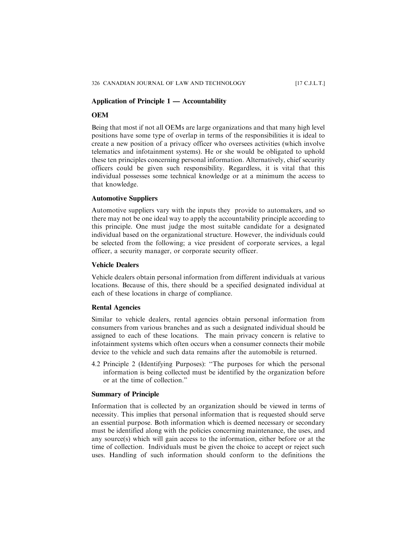## **Application of Principle 1 — Accountability**

#### **OEM**

Being that most if not all OEMs are large organizations and that many high level positions have some type of overlap in terms of the responsibilities it is ideal to create a new position of a privacy officer who oversees activities (which involve telematics and infotainment systems). He or she would be obligated to uphold these ten principles concerning personal information. Alternatively, chief security officers could be given such responsibility. Regardless, it is vital that this individual possesses some technical knowledge or at a minimum the access to that knowledge.

## **Automotive Suppliers**

Automotive suppliers vary with the inputs they provide to automakers, and so there may not be one ideal way to apply the accountability principle according to this principle. One must judge the most suitable candidate for a designated individual based on the organizational structure. However, the individuals could be selected from the following; a vice president of corporate services, a legal officer, a security manager, or corporate security officer.

## **Vehicle Dealers**

Vehicle dealers obtain personal information from different individuals at various locations. Because of this, there should be a specified designated individual at each of these locations in charge of compliance.

## **Rental Agencies**

Similar to vehicle dealers, rental agencies obtain personal information from consumers from various branches and as such a designated individual should be assigned to each of these locations. The main privacy concern is relative to infotainment systems which often occurs when a consumer connects their mobile device to the vehicle and such data remains after the automobile is returned.

4.2 Principle 2 (Identifying Purposes): ''The purposes for which the personal information is being collected must be identified by the organization before or at the time of collection."

## **Summary of Principle**

Information that is collected by an organization should be viewed in terms of necessity. This implies that personal information that is requested should serve an essential purpose. Both information which is deemed necessary or secondary must be identified along with the policies concerning maintenance, the uses, and any source(s) which will gain access to the information, either before or at the time of collection. Individuals must be given the choice to accept or reject such uses. Handling of such information should conform to the definitions the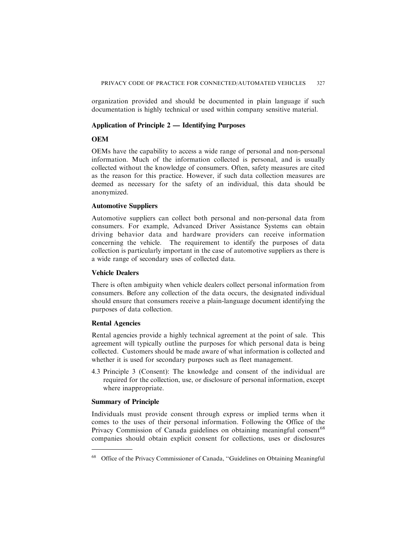organization provided and should be documented in plain language if such documentation is highly technical or used within company sensitive material.

## **Application of Principle 2 — Identifying Purposes**

## **OEM**

OEMs have the capability to access a wide range of personal and non-personal information. Much of the information collected is personal, and is usually collected without the knowledge of consumers. Often, safety measures are cited as the reason for this practice. However, if such data collection measures are deemed as necessary for the safety of an individual, this data should be anonymized.

## **Automotive Suppliers**

Automotive suppliers can collect both personal and non-personal data from consumers. For example, Advanced Driver Assistance Systems can obtain driving behavior data and hardware providers can receive information concerning the vehicle. The requirement to identify the purposes of data collection is particularly important in the case of automotive suppliers as there is a wide range of secondary uses of collected data.

## **Vehicle Dealers**

There is often ambiguity when vehicle dealers collect personal information from consumers. Before any collection of the data occurs, the designated individual should ensure that consumers receive a plain-language document identifying the purposes of data collection.

## **Rental Agencies**

Rental agencies provide a highly technical agreement at the point of sale. This agreement will typically outline the purposes for which personal data is being collected. Customers should be made aware of what information is collected and whether it is used for secondary purposes such as fleet management.

4.3 Principle 3 (Consent): The knowledge and consent of the individual are required for the collection, use, or disclosure of personal information, except where inappropriate.

## **Summary of Principle**

Individuals must provide consent through express or implied terms when it comes to the uses of their personal information. Following the Office of the Privacy Commission of Canada guidelines on obtaining meaningful consent<sup>68</sup> companies should obtain explicit consent for collections, uses or disclosures

<sup>68</sup> Office of the Privacy Commissioner of Canada, ''Guidelines on Obtaining Meaningful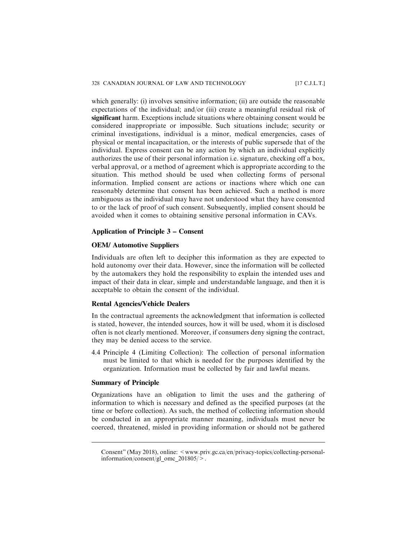which generally: (i) involves sensitive information; (ii) are outside the reasonable expectations of the individual; and/or (iii) create a meaningful residual risk of significant harm. Exceptions include situations where obtaining consent would be considered inappropriate or impossible. Such situations include; security or criminal investigations, individual is a minor, medical emergencies, cases of physical or mental incapacitation, or the interests of public supersede that of the individual. Express consent can be any action by which an individual explicitly authorizes the use of their personal information i.e. signature, checking off a box, verbal approval, or a method of agreement which is appropriate according to the situation. This method should be used when collecting forms of personal information. Implied consent are actions or inactions where which one can reasonably determine that consent has been achieved. Such a method is more ambiguous as the individual may have not understood what they have consented to or the lack of proof of such consent. Subsequently, implied consent should be avoided when it comes to obtaining sensitive personal information in CAVs.

#### **Application of Principle 3 – Consent**

## **OEM/ Automotive Suppliers**

Individuals are often left to decipher this information as they are expected to hold autonomy over their data. However, since the information will be collected by the automakers they hold the responsibility to explain the intended uses and impact of their data in clear, simple and understandable language, and then it is acceptable to obtain the consent of the individual.

### **Rental Agencies/Vehicle Dealers**

In the contractual agreements the acknowledgment that information is collected is stated, however, the intended sources, how it will be used, whom it is disclosed often is not clearly mentioned. Moreover, if consumers deny signing the contract, they may be denied access to the service.

4.4 Principle 4 (Limiting Collection): The collection of personal information must be limited to that which is needed for the purposes identified by the organization. Information must be collected by fair and lawful means.

## **Summary of Principle**

Organizations have an obligation to limit the uses and the gathering of information to which is necessary and defined as the specified purposes (at the time or before collection). As such, the method of collecting information should be conducted in an appropriate manner meaning, individuals must never be coerced, threatened, misled in providing information or should not be gathered

Consent" (May 2018), online: <www.priv.gc.ca/en/privacy-topics/collecting-personalinformation/consent/gl\_omc\_201805/ $>$ .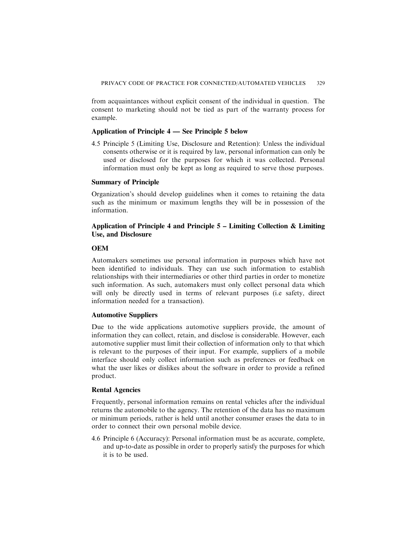from acquaintances without explicit consent of the individual in question. The consent to marketing should not be tied as part of the warranty process for example.

#### **Application of Principle 4 — See Principle 5 below**

4.5 Principle 5 (Limiting Use, Disclosure and Retention): Unless the individual consents otherwise or it is required by law, personal information can only be used or disclosed for the purposes for which it was collected. Personal information must only be kept as long as required to serve those purposes.

#### **Summary of Principle**

Organization's should develop guidelines when it comes to retaining the data such as the minimum or maximum lengths they will be in possession of the information.

## **Application of Principle 4 and Principle 5 – Limiting Collection & Limiting Use, and Disclosure**

## **OEM**

Automakers sometimes use personal information in purposes which have not been identified to individuals. They can use such information to establish relationships with their intermediaries or other third parties in order to monetize such information. As such, automakers must only collect personal data which will only be directly used in terms of relevant purposes (i.e safety, direct information needed for a transaction).

## **Automotive Suppliers**

Due to the wide applications automotive suppliers provide, the amount of information they can collect, retain, and disclose is considerable. However, each automotive supplier must limit their collection of information only to that which is relevant to the purposes of their input. For example, suppliers of a mobile interface should only collect information such as preferences or feedback on what the user likes or dislikes about the software in order to provide a refined product.

## **Rental Agencies**

Frequently, personal information remains on rental vehicles after the individual returns the automobile to the agency. The retention of the data has no maximum or minimum periods, rather is held until another consumer erases the data to in order to connect their own personal mobile device.

4.6 Principle 6 (Accuracy): Personal information must be as accurate, complete, and up-to-date as possible in order to properly satisfy the purposes for which it is to be used.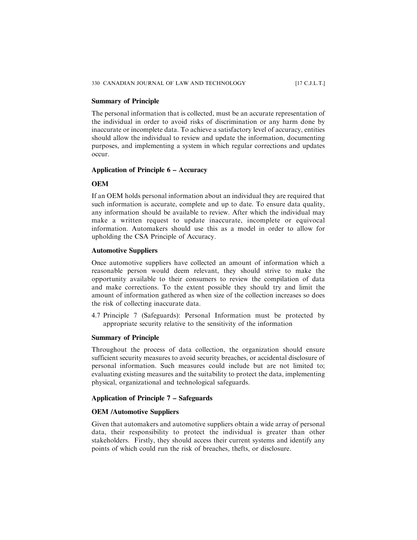## **Summary of Principle**

The personal information that is collected, must be an accurate representation of the individual in order to avoid risks of discrimination or any harm done by inaccurate or incomplete data. To achieve a satisfactory level of accuracy, entities should allow the individual to review and update the information, documenting purposes, and implementing a system in which regular corrections and updates occur.

## **Application of Principle 6 – Accuracy**

#### **OEM**

If an OEM holds personal information about an individual they are required that such information is accurate, complete and up to date. To ensure data quality, any information should be available to review. After which the individual may make a written request to update inaccurate, incomplete or equivocal information. Automakers should use this as a model in order to allow for upholding the CSA Principle of Accuracy.

## **Automotive Suppliers**

Once automotive suppliers have collected an amount of information which a reasonable person would deem relevant, they should strive to make the opportunity available to their consumers to review the compilation of data and make corrections. To the extent possible they should try and limit the amount of information gathered as when size of the collection increases so does the risk of collecting inaccurate data.

4.7 Principle 7 (Safeguards): Personal Information must be protected by appropriate security relative to the sensitivity of the information

## **Summary of Principle**

Throughout the process of data collection, the organization should ensure sufficient security measures to avoid security breaches, or accidental disclosure of personal information. Such measures could include but are not limited to; evaluating existing measures and the suitability to protect the data, implementing physical, organizational and technological safeguards.

## **Application of Principle 7 – Safeguards**

## **OEM /Automotive Suppliers**

Given that automakers and automotive suppliers obtain a wide array of personal data, their responsibility to protect the individual is greater than other stakeholders. Firstly, they should access their current systems and identify any points of which could run the risk of breaches, thefts, or disclosure.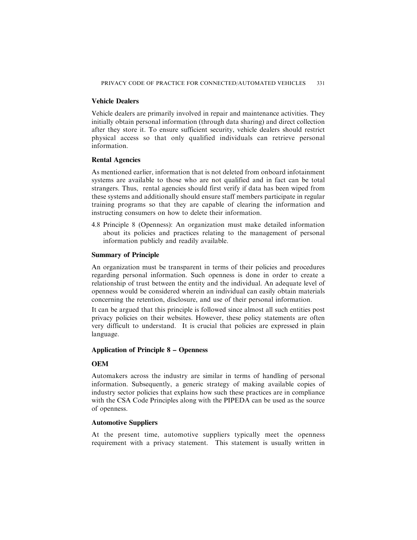## **Vehicle Dealers**

Vehicle dealers are primarily involved in repair and maintenance activities. They initially obtain personal information (through data sharing) and direct collection after they store it. To ensure sufficient security, vehicle dealers should restrict physical access so that only qualified individuals can retrieve personal information.

#### **Rental Agencies**

As mentioned earlier, information that is not deleted from onboard infotainment systems are available to those who are not qualified and in fact can be total strangers. Thus, rental agencies should first verify if data has been wiped from these systems and additionally should ensure staff members participate in regular training programs so that they are capable of clearing the information and instructing consumers on how to delete their information.

4.8 Principle 8 (Openness): An organization must make detailed information about its policies and practices relating to the management of personal information publicly and readily available.

## **Summary of Principle**

An organization must be transparent in terms of their policies and procedures regarding personal information. Such openness is done in order to create a relationship of trust between the entity and the individual. An adequate level of openness would be considered wherein an individual can easily obtain materials concerning the retention, disclosure, and use of their personal information.

It can be argued that this principle is followed since almost all such entities post privacy policies on their websites. However, these policy statements are often very difficult to understand. It is crucial that policies are expressed in plain language.

## **Application of Principle 8 – Openness**

## **OEM**

Automakers across the industry are similar in terms of handling of personal information. Subsequently, a generic strategy of making available copies of industry sector policies that explains how such these practices are in compliance with the CSA Code Principles along with the PIPEDA can be used as the source of openness.

#### **Automotive Suppliers**

At the present time, automotive suppliers typically meet the openness requirement with a privacy statement. This statement is usually written in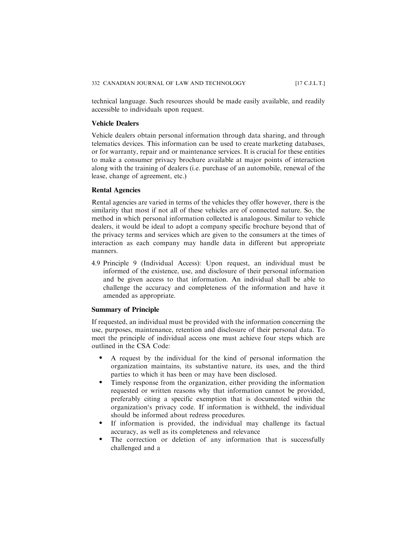technical language. Such resources should be made easily available, and readily accessible to individuals upon request.

## **Vehicle Dealers**

Vehicle dealers obtain personal information through data sharing, and through telematics devices. This information can be used to create marketing databases, or for warranty, repair and or maintenance services. It is crucial for these entities to make a consumer privacy brochure available at major points of interaction along with the training of dealers (i.e. purchase of an automobile, renewal of the lease, change of agreement, etc.)

#### **Rental Agencies**

Rental agencies are varied in terms of the vehicles they offer however, there is the similarity that most if not all of these vehicles are of connected nature. So, the method in which personal information collected is analogous. Similar to vehicle dealers, it would be ideal to adopt a company specific brochure beyond that of the privacy terms and services which are given to the consumers at the times of interaction as each company may handle data in different but appropriate manners.

4.9 Principle 9 (Individual Access): Upon request, an individual must be informed of the existence, use, and disclosure of their personal information and be given access to that information. An individual shall be able to challenge the accuracy and completeness of the information and have it amended as appropriate.

#### **Summary of Principle**

If requested, an individual must be provided with the information concerning the use, purposes, maintenance, retention and disclosure of their personal data. To meet the principle of individual access one must achieve four steps which are outlined in the CSA Code:

- . A request by the individual for the kind of personal information the organization maintains, its substantive nature, its uses, and the third parties to which it has been or may have been disclosed.
- . Timely response from the organization, either providing the information requested or written reasons why that information cannot be provided, preferably citing a specific exemption that is documented within the organization's privacy code. If information is withheld, the individual should be informed about redress procedures.
- . If information is provided, the individual may challenge its factual accuracy, as well as its completeness and relevance
- The correction or deletion of any information that is successfully challenged and a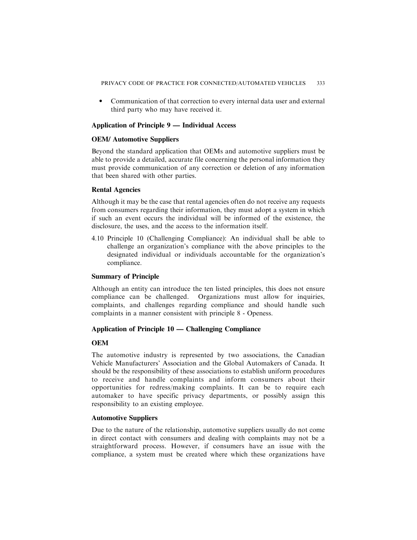. Communication of that correction to every internal data user and external third party who may have received it.

## **Application of Principle 9 — Individual Access**

## **OEM/ Automotive Suppliers**

Beyond the standard application that OEMs and automotive suppliers must be able to provide a detailed, accurate file concerning the personal information they must provide communication of any correction or deletion of any information that been shared with other parties.

## **Rental Agencies**

Although it may be the case that rental agencies often do not receive any requests from consumers regarding their information, they must adopt a system in which if such an event occurs the individual will be informed of the existence, the disclosure, the uses, and the access to the information itself.

4.10 Principle 10 (Challenging Compliance): An individual shall be able to challenge an organization's compliance with the above principles to the designated individual or individuals accountable for the organization's compliance.

## **Summary of Principle**

Although an entity can introduce the ten listed principles, this does not ensure compliance can be challenged. Organizations must allow for inquiries, complaints, and challenges regarding compliance and should handle such complaints in a manner consistent with principle 8 - Openess.

## **Application of Principle 10 — Challenging Compliance**

## **OEM**

The automotive industry is represented by two associations, the Canadian Vehicle Manufacturers' Association and the Global Automakers of Canada. It should be the responsibility of these associations to establish uniform procedures to receive and handle complaints and inform consumers about their opportunities for redress/making complaints. It can be to require each automaker to have specific privacy departments, or possibly assign this responsibility to an existing employee.

## **Automotive Suppliers**

Due to the nature of the relationship, automotive suppliers usually do not come in direct contact with consumers and dealing with complaints may not be a straightforward process. However, if consumers have an issue with the compliance, a system must be created where which these organizations have